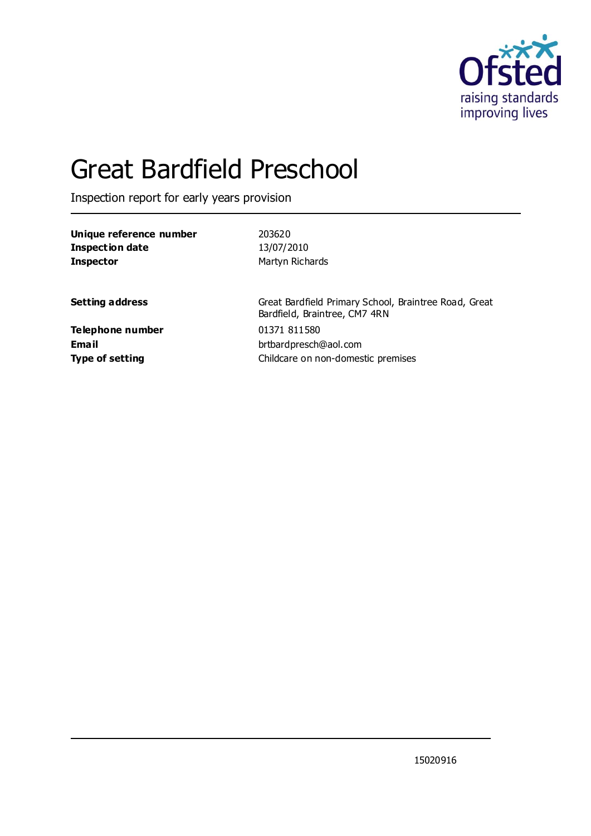

# Great Bardfield Preschool

Inspection report for early years provision

| Unique reference number                             | 203620                                                                                 |
|-----------------------------------------------------|----------------------------------------------------------------------------------------|
| <b>Inspection date</b>                              | 13/07/2010                                                                             |
| <b>Inspector</b>                                    | Martyn Richards                                                                        |
| <b>Setting address</b>                              | Great Bardfield Primary School, Braintree Road, Great<br>Bardfield, Braintree, CM7 4RN |
| Telephone number<br>Email<br><b>Type of setting</b> | 01371 811580<br>brtbardpresch@aol.com<br>Childcare on non-domestic premises            |
|                                                     |                                                                                        |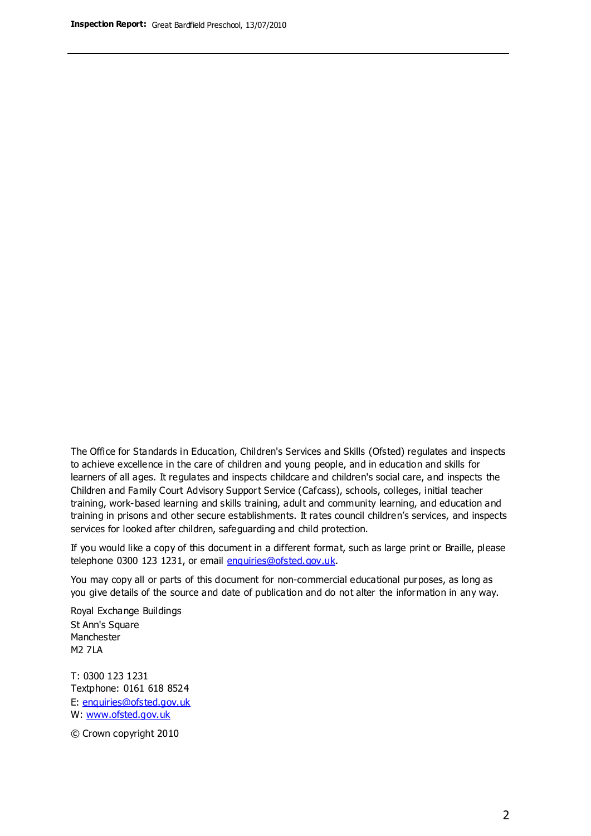The Office for Standards in Education, Children's Services and Skills (Ofsted) regulates and inspects to achieve excellence in the care of children and young people, and in education and skills for learners of all ages. It regulates and inspects childcare and children's social care, and inspects the Children and Family Court Advisory Support Service (Cafcass), schools, colleges, initial teacher training, work-based learning and skills training, adult and community learning, and education and training in prisons and other secure establishments. It rates council children's services, and inspects services for looked after children, safeguarding and child protection.

If you would like a copy of this document in a different format, such as large print or Braille, please telephone 0300 123 1231, or email enquiries@ofsted.gov.uk.

You may copy all or parts of this document for non-commercial educational purposes, as long as you give details of the source and date of publication and do not alter the information in any way.

Royal Exchange Buildings St Ann's Square Manchester M2 7LA

T: 0300 123 1231 Textphone: 0161 618 8524 E: enquiries@ofsted.gov.uk W: [www.ofsted.gov.uk](http://www.ofsted.gov.uk/)

© Crown copyright 2010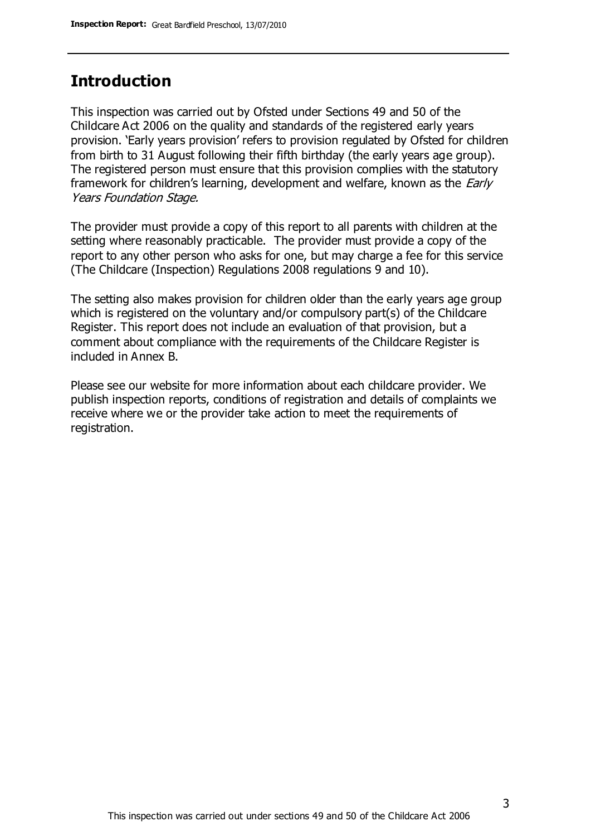#### **Introduction**

This inspection was carried out by Ofsted under Sections 49 and 50 of the Childcare Act 2006 on the quality and standards of the registered early years provision. 'Early years provision' refers to provision regulated by Ofsted for children from birth to 31 August following their fifth birthday (the early years age group). The registered person must ensure that this provision complies with the statutory framework for children's learning, development and welfare, known as the *Early* Years Foundation Stage.

The provider must provide a copy of this report to all parents with children at the setting where reasonably practicable. The provider must provide a copy of the report to any other person who asks for one, but may charge a fee for this service (The Childcare (Inspection) Regulations 2008 regulations 9 and 10).

The setting also makes provision for children older than the early years age group which is registered on the voluntary and/or compulsory part(s) of the Childcare Register. This report does not include an evaluation of that provision, but a comment about compliance with the requirements of the Childcare Register is included in Annex B.

Please see our website for more information about each childcare provider. We publish inspection reports, conditions of registration and details of complaints we receive where we or the provider take action to meet the requirements of registration.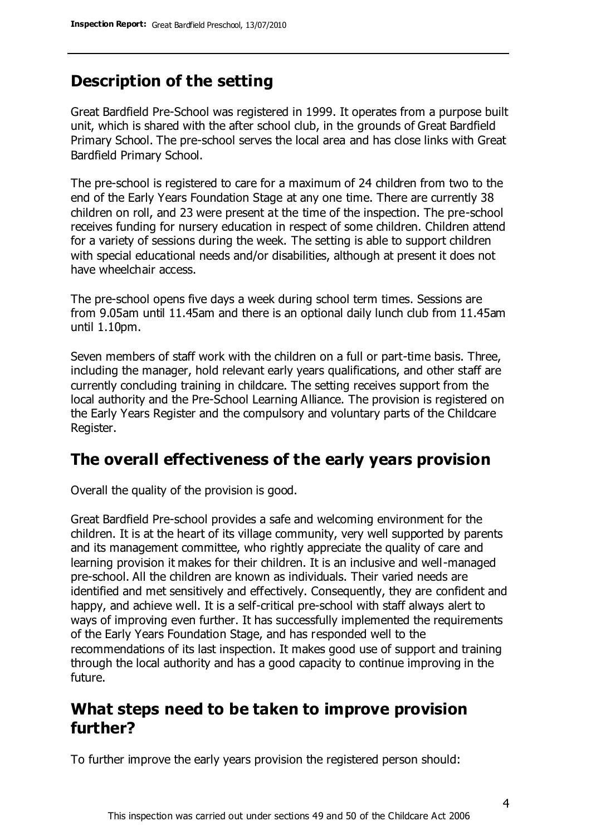# **Description of the setting**

Great Bardfield Pre-School was registered in 1999. It operates from a purpose built unit, which is shared with the after school club, in the grounds of Great Bardfield Primary School. The pre-school serves the local area and has close links with Great Bardfield Primary School.

The pre-school is registered to care for a maximum of 24 children from two to the end of the Early Years Foundation Stage at any one time. There are currently 38 children on roll, and 23 were present at the time of the inspection. The pre-school receives funding for nursery education in respect of some children. Children attend for a variety of sessions during the week. The setting is able to support children with special educational needs and/or disabilities, although at present it does not have wheelchair access.

The pre-school opens five days a week during school term times. Sessions are from 9.05am until 11.45am and there is an optional daily lunch club from 11.45am until 1.10pm.

Seven members of staff work with the children on a full or part-time basis. Three, including the manager, hold relevant early years qualifications, and other staff are currently concluding training in childcare. The setting receives support from the local authority and the Pre-School Learning Alliance. The provision is registered on the Early Years Register and the compulsory and voluntary parts of the Childcare Register.

### **The overall effectiveness of the early years provision**

Overall the quality of the provision is good.

Great Bardfield Pre-school provides a safe and welcoming environment for the children. It is at the heart of its village community, very well supported by parents and its management committee, who rightly appreciate the quality of care and learning provision it makes for their children. It is an inclusive and well-managed pre-school. All the children are known as individuals. Their varied needs are identified and met sensitively and effectively. Consequently, they are confident and happy, and achieve well. It is a self-critical pre-school with staff always alert to ways of improving even further. It has successfully implemented the requirements of the Early Years Foundation Stage, and has responded well to the recommendations of its last inspection. It makes good use of support and training through the local authority and has a good capacity to continue improving in the future.

### **What steps need to be taken to improve provision further?**

To further improve the early years provision the registered person should: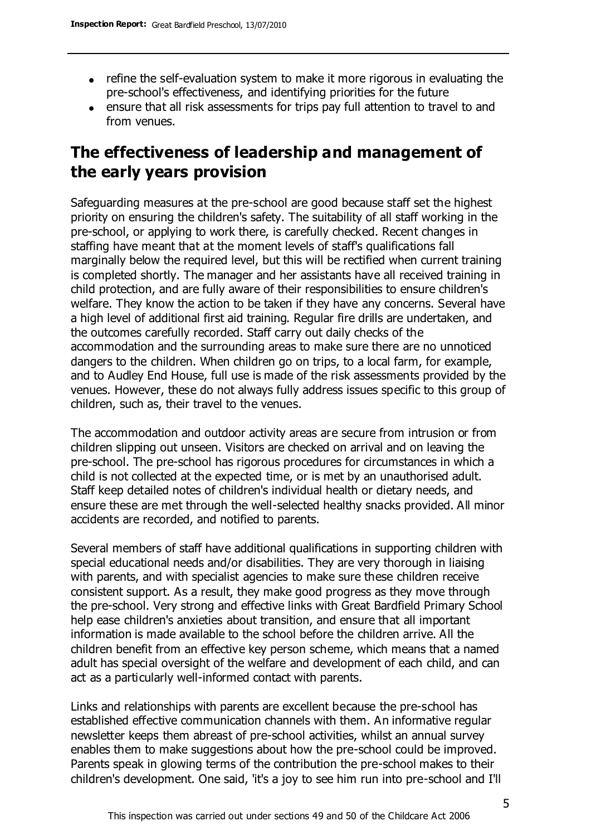- refine the self-evaluation system to make it more rigorous in evaluating the pre-school's effectiveness, and identifying priorities for the future
- ensure that all risk assessments for trips pay full attention to travel to and from venues.

## **The effectiveness of leadership and management of the early years provision**

Safeguarding measures at the pre-school are good because staff set the highest priority on ensuring the children's safety. The suitability of all staff working in the pre-school, or applying to work there, is carefully checked. Recent changes in staffing have meant that at the moment levels of staff's qualifications fall marginally below the required level, but this will be rectified when current training is completed shortly. The manager and her assistants have all received training in child protection, and are fully aware of their responsibilities to ensure children's welfare. They know the action to be taken if they have any concerns. Several have a high level of additional first aid training. Regular fire drills are undertaken, and the outcomes carefully recorded. Staff carry out daily checks of the accommodation and the surrounding areas to make sure there are no unnoticed dangers to the children. When children go on trips, to a local farm, for example, and to Audley End House, full use is made of the risk assessments provided by the venues. However, these do not always fully address issues specific to this group of children, such as, their travel to the venues.

The accommodation and outdoor activity areas are secure from intrusion or from children slipping out unseen. Visitors are checked on arrival and on leaving the pre-school. The pre-school has rigorous procedures for circumstances in which a child is not collected at the expected time, or is met by an unauthorised adult. Staff keep detailed notes of children's individual health or dietary needs, and ensure these are met through the well-selected healthy snacks provided. All minor accidents are recorded, and notified to parents.

Several members of staff have additional qualifications in supporting children with special educational needs and/or disabilities. They are very thorough in liaising with parents, and with specialist agencies to make sure these children receive consistent support. As a result, they make good progress as they move through the pre-school. Very strong and effective links with Great Bardfield Primary School help ease children's anxieties about transition, and ensure that all important information is made available to the school before the children arrive. All the children benefit from an effective key person scheme, which means that a named adult has special oversight of the welfare and development of each child, and can act as a particularly well-informed contact with parents.

Links and relationships with parents are excellent because the pre-school has established effective communication channels with them. An informative regular newsletter keeps them abreast of pre-school activities, whilst an annual survey enables them to make suggestions about how the pre-school could be improved. Parents speak in glowing terms of the contribution the pre-school makes to their children's development. One said, 'it's a joy to see him run into pre-school and I'll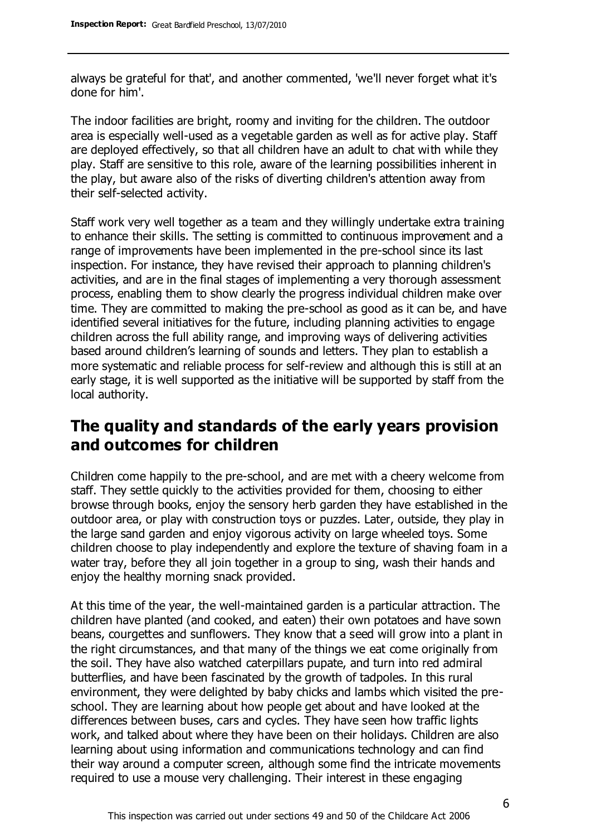always be grateful for that', and another commented, 'we'll never forget what it's done for him'.

The indoor facilities are bright, roomy and inviting for the children. The outdoor area is especially well-used as a vegetable garden as well as for active play. Staff are deployed effectively, so that all children have an adult to chat with while they play. Staff are sensitive to this role, aware of the learning possibilities inherent in the play, but aware also of the risks of diverting children's attention away from their self-selected activity.

Staff work very well together as a team and they willingly undertake extra training to enhance their skills. The setting is committed to continuous improvement and a range of improvements have been implemented in the pre-school since its last inspection. For instance, they have revised their approach to planning children's activities, and are in the final stages of implementing a very thorough assessment process, enabling them to show clearly the progress individual children make over time. They are committed to making the pre-school as good as it can be, and have identified several initiatives for the future, including planning activities to engage children across the full ability range, and improving ways of delivering activities based around children's learning of sounds and letters. They plan to establish a more systematic and reliable process for self-review and although this is still at an early stage, it is well supported as the initiative will be supported by staff from the local authority.

### **The quality and standards of the early years provision and outcomes for children**

Children come happily to the pre-school, and are met with a cheery welcome from staff. They settle quickly to the activities provided for them, choosing to either browse through books, enjoy the sensory herb garden they have established in the outdoor area, or play with construction toys or puzzles. Later, outside, they play in the large sand garden and enjoy vigorous activity on large wheeled toys. Some children choose to play independently and explore the texture of shaving foam in a water tray, before they all join together in a group to sing, wash their hands and enjoy the healthy morning snack provided.

At this time of the year, the well-maintained garden is a particular attraction. The children have planted (and cooked, and eaten) their own potatoes and have sown beans, courgettes and sunflowers. They know that a seed will grow into a plant in the right circumstances, and that many of the things we eat come originally from the soil. They have also watched caterpillars pupate, and turn into red admiral butterflies, and have been fascinated by the growth of tadpoles. In this rural environment, they were delighted by baby chicks and lambs which visited the preschool. They are learning about how people get about and have looked at the differences between buses, cars and cycles. They have seen how traffic lights work, and talked about where they have been on their holidays. Children are also learning about using information and communications technology and can find their way around a computer screen, although some find the intricate movements required to use a mouse very challenging. Their interest in these engaging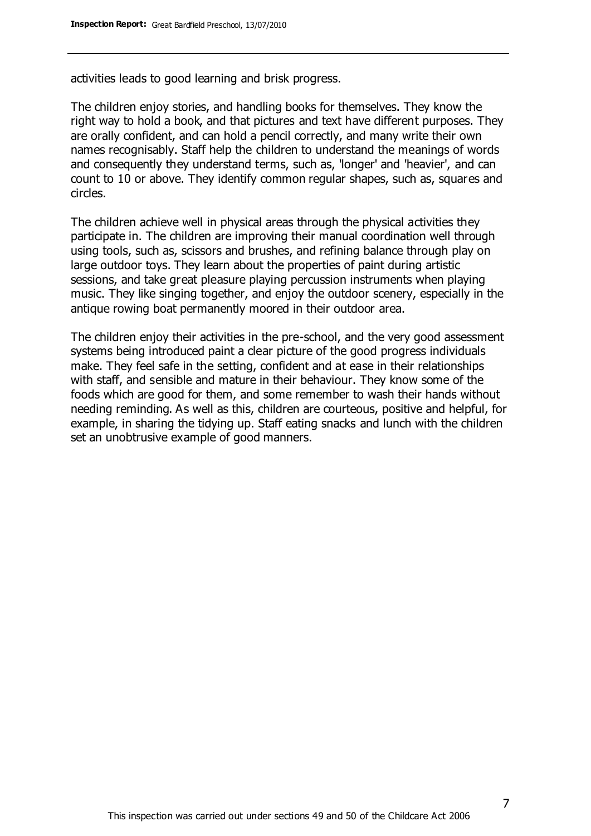activities leads to good learning and brisk progress.

The children enjoy stories, and handling books for themselves. They know the right way to hold a book, and that pictures and text have different purposes. They are orally confident, and can hold a pencil correctly, and many write their own names recognisably. Staff help the children to understand the meanings of words and consequently they understand terms, such as, 'longer' and 'heavier', and can count to 10 or above. They identify common regular shapes, such as, squares and circles.

The children achieve well in physical areas through the physical activities they participate in. The children are improving their manual coordination well through using tools, such as, scissors and brushes, and refining balance through play on large outdoor toys. They learn about the properties of paint during artistic sessions, and take great pleasure playing percussion instruments when playing music. They like singing together, and enjoy the outdoor scenery, especially in the antique rowing boat permanently moored in their outdoor area.

The children enjoy their activities in the pre-school, and the very good assessment systems being introduced paint a clear picture of the good progress individuals make. They feel safe in the setting, confident and at ease in their relationships with staff, and sensible and mature in their behaviour. They know some of the foods which are good for them, and some remember to wash their hands without needing reminding. As well as this, children are courteous, positive and helpful, for example, in sharing the tidying up. Staff eating snacks and lunch with the children set an unobtrusive example of good manners.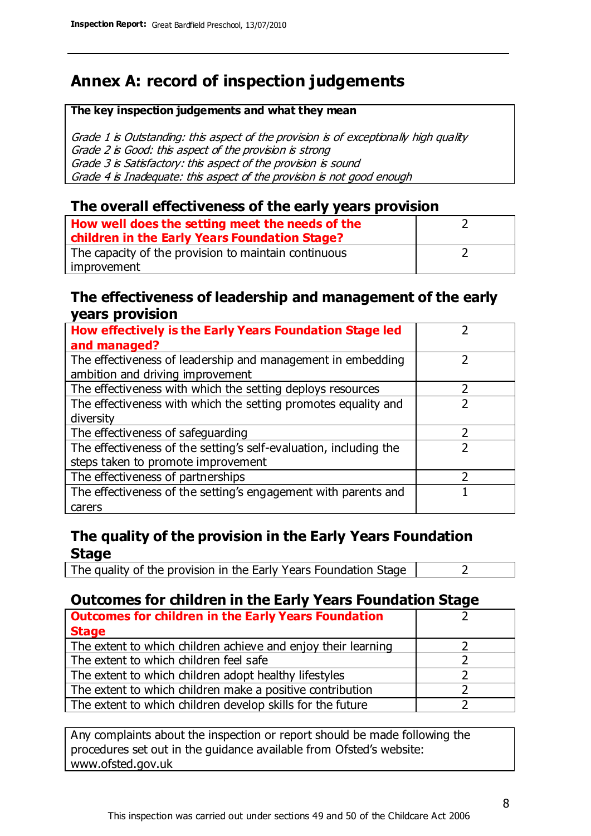# **Annex A: record of inspection judgements**

#### **The key inspection judgements and what they mean**

Grade 1 is Outstanding: this aspect of the provision is of exceptionally high quality Grade 2 is Good: this aspect of the provision is strong Grade 3 is Satisfactory: this aspect of the provision is sound Grade 4 is Inadequate: this aspect of the provision is not good enough

#### **The overall effectiveness of the early years provision**

| How well does the setting meet the needs of the<br>children in the Early Years Foundation Stage? |  |
|--------------------------------------------------------------------------------------------------|--|
| The capacity of the provision to maintain continuous                                             |  |
| improvement                                                                                      |  |

#### **The effectiveness of leadership and management of the early years provision**

| How effectively is the Early Years Foundation Stage led           |   |
|-------------------------------------------------------------------|---|
| and managed?                                                      |   |
| The effectiveness of leadership and management in embedding       |   |
| ambition and driving improvement                                  |   |
| The effectiveness with which the setting deploys resources        |   |
| The effectiveness with which the setting promotes equality and    |   |
| diversity                                                         |   |
| The effectiveness of safeguarding                                 | 7 |
| The effectiveness of the setting's self-evaluation, including the |   |
| steps taken to promote improvement                                |   |
| The effectiveness of partnerships                                 |   |
| The effectiveness of the setting's engagement with parents and    |   |
| carers                                                            |   |

#### **The quality of the provision in the Early Years Foundation Stage**

The quality of the provision in the Early Years Foundation Stage  $\vert$  2

#### **Outcomes for children in the Early Years Foundation Stage**

| <b>Outcomes for children in the Early Years Foundation</b>    |  |
|---------------------------------------------------------------|--|
| <b>Stage</b>                                                  |  |
| The extent to which children achieve and enjoy their learning |  |
| The extent to which children feel safe                        |  |
| The extent to which children adopt healthy lifestyles         |  |
| The extent to which children make a positive contribution     |  |
| The extent to which children develop skills for the future    |  |

Any complaints about the inspection or report should be made following the procedures set out in the guidance available from Ofsted's website: www.ofsted.gov.uk